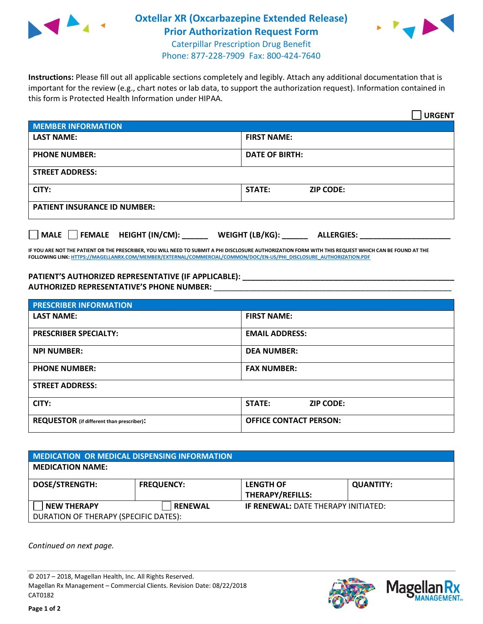

## **Oxtellar XR (Oxcarbazepine Extended Release) Prior Authorization Request Form** Caterpillar Prescription Drug Benefit



Phone: 877-228-7909 Fax: 800-424-7640

**Instructions:** Please fill out all applicable sections completely and legibly. Attach any additional documentation that is important for the review (e.g., chart notes or lab data, to support the authorization request). Information contained in this form is Protected Health Information under HIPAA.

|                                                              | <b>URGENT</b>                        |  |  |  |
|--------------------------------------------------------------|--------------------------------------|--|--|--|
| <b>MEMBER INFORMATION</b>                                    |                                      |  |  |  |
| <b>LAST NAME:</b>                                            | <b>FIRST NAME:</b>                   |  |  |  |
| <b>PHONE NUMBER:</b>                                         | <b>DATE OF BIRTH:</b>                |  |  |  |
| <b>STREET ADDRESS:</b>                                       |                                      |  |  |  |
| CITY:                                                        | <b>ZIP CODE:</b><br>STATE:           |  |  |  |
| <b>PATIENT INSURANCE ID NUMBER:</b>                          |                                      |  |  |  |
| FEMALE HEIGHT (IN/CM):<br>$\blacksquare$ MALE $\blacksquare$ | WEIGHT (LB/KG):<br><b>ALLERGIES:</b> |  |  |  |

**IF YOU ARE NOT THE PATIENT OR THE PRESCRIBER, YOU WILL NEED TO SUBMIT A PHI DISCLOSURE AUTHORIZATION FORM WITH THIS REQUEST WHICH CAN BE FOUND AT THE FOLLOWING LINK[: HTTPS://MAGELLANRX.COM/MEMBER/EXTERNAL/COMMERCIAL/COMMON/DOC/EN-US/PHI\\_DISCLOSURE\\_AUTHORIZATION.PDF](https://magellanrx.com/member/external/commercial/common/doc/en-us/PHI_Disclosure_Authorization.pdf)**

**PATIENT'S AUTHORIZED REPRESENTATIVE (IF APPLICABLE): \_\_\_\_\_\_\_\_\_\_\_\_\_\_\_\_\_\_\_\_\_\_\_\_\_\_\_\_\_\_\_\_\_\_\_\_\_\_\_\_\_\_\_\_\_\_\_\_\_ AUTHORIZED REPRESENTATIVE'S PHONE NUMBER:** \_\_\_\_\_\_\_\_\_\_\_\_\_\_\_\_\_\_\_\_\_\_\_\_\_\_\_\_\_\_\_\_\_\_\_\_\_\_\_\_\_\_\_\_\_\_\_\_\_\_\_\_\_\_\_

| <b>PRESCRIBER INFORMATION</b>             |                               |  |  |
|-------------------------------------------|-------------------------------|--|--|
| <b>LAST NAME:</b>                         | <b>FIRST NAME:</b>            |  |  |
| <b>PRESCRIBER SPECIALTY:</b>              | <b>EMAIL ADDRESS:</b>         |  |  |
| <b>NPI NUMBER:</b>                        | <b>DEA NUMBER:</b>            |  |  |
| <b>PHONE NUMBER:</b>                      | <b>FAX NUMBER:</b>            |  |  |
| <b>STREET ADDRESS:</b>                    |                               |  |  |
| CITY:                                     | STATE:<br><b>ZIP CODE:</b>    |  |  |
| REQUESTOR (if different than prescriber): | <b>OFFICE CONTACT PERSON:</b> |  |  |

| <b>MEDICATION OR MEDICAL DISPENSING INFORMATION</b>         |                   |                                             |                  |  |  |
|-------------------------------------------------------------|-------------------|---------------------------------------------|------------------|--|--|
| <b>MEDICATION NAME:</b>                                     |                   |                                             |                  |  |  |
| <b>DOSE/STRENGTH:</b>                                       | <b>FREQUENCY:</b> | <b>LENGTH OF</b><br><b>THERAPY/REFILLS:</b> | <b>QUANTITY:</b> |  |  |
| <b>NEW THERAPY</b><br>DURATION OF THERAPY (SPECIFIC DATES): | <b>RENEWAL</b>    | <b>IF RENEWAL: DATE THERAPY INITIATED:</b>  |                  |  |  |

*Continued on next page.*

© 2017 – 2018, Magellan Health, Inc. All Rights Reserved. Magellan Rx Management – Commercial Clients. Revision Date: 08/22/2018 CAT0182